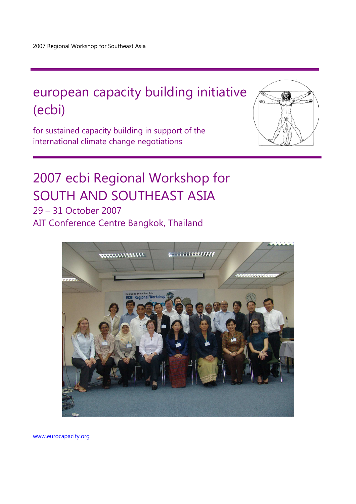# european capacity building initiative (ecbi)

for sustained capacity building in support of the international climate change negotiations



## 2007 ecbi Regional Workshop for SOUTH AND SOUTHEAST ASIA 29 – 31 October 2007

AIT Conference Centre Bangkok, Thailand



www.eurocapacity.org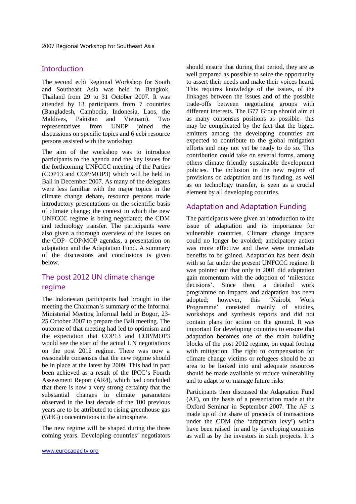2007 Regional Workshop for Southeast Asia

#### **Intorduction**

The second ecbi Regional Workshop for South and Southeast Asia was held in Bangkok, Thailand from 29 to 31 October 2007. It was attended by 13 participants from 7 countries (Bangladesh, Cambodia, Indonesia, Laos, the Maldives, Pakistan and Vietnam). Two representatives from UNEP joined the discussions on specific topics and 6 ecbi resource persons assisted with the workshop.

The aim of the workshop was to introduce participants to the agenda and the key issues for the forthcoming UNFCCC meeting of the Parties (COP13 and COP/MOP3) which will be held in Bali in December 2007. As many of the delegates were less familiar with the major topics in the climate change debate, resource persons made introductory presentations on the scientific basis of climate change; the context in which the new UNFCCC regime is being negotiated; the CDM and technology transfer. The participants were also given a thorough overview of the issues on the COP- COP/MOP agendas, a presentation on adaptation and the Adaptation Fund. A summary of the discussions and conclusions is given below.

#### The post 2012 UN climate change regime

The Indonesian participants had brought to the meeting the Chairman's summary of the Informal Ministerial Meeting Informal held in Bogor, 23- 25 October 2007 to prepare the Bali meeting. The outcome of that meeting had led to optimism and the expectation that COP13 and COP/MOP3 would see the start of the actual UN negotiations on the post 2012 regime. There was now a reasonable consensus that the new regime should be in place at the latest by 2009. This had in part been achieved as a result of the IPCC's Fourth Assessment Report (AR4), which had concluded that there is now a very strong certainty that the substantial changes in climate parameters observed in the last decade of the 100 previous years are to be attributed to rising greenhouse gas (GHG) concentrations in the atmosphere.

The new regime will be shaped during the three coming years. Developing countries' negotiators should ensure that during that period, they are as well prepared as possible to seize the opportunity to assert their needs and make their voices heard. This requires knowledge of the issues, of the linkages between the issues and of the possible trade-offs between negotiating groups with different interests. The G77 Group should aim at as many consensus positions as possible- this may be complicated by the fact that the bigger emitters among the developing countries are expected to contribute to the global mitigation efforts and may not yet be ready to do so. This contribution could take on several forms, among others climate friendly sustainable development policies. The inclusion in the new regime of provisions on adaptation and its funding, as well as on technology transfer, is seen as a crucial element by all developing countries.

#### Adaptation and Adaptation Funding

The participants were given an introduction to the issue of adaptation and its importance for vulnerable countries. Climate change impacts could no longer be avoided; anticipatory action was more effective and there were immediate benefits to be gained. Adaptation has been dealt with so far under the present UNFCCC regime. It was pointed out that only in 2001 did adaptation gain momentum with the adoption of 'milestone decisions'. Since then, a detailed work programme on impacts and adaptation has been adopted; however, this 'Nairobi Work Programme' consisted mainly of studies, workshops and synthesis reports and did not contain plans for action on the ground. It was important for developing countries to ensure that adaptation becomes one of the main building blocks of the post 2012 regime, on equal footing with mitigation. The right to compensation for climate change victims or refugees should be an area to be looked into and adequate resources should be made available to reduce vulnerability and to adapt to or manage future risks

Participants then discussed the Adaptation Fund (AF), on the basis of a presentation made at the Oxford Seminar in September 2007. The AF is made up of the share of proceeds of transactions under the CDM (the 'adaptation levy') which have been raised in and by developing countries as well as by the investors in such projects. It is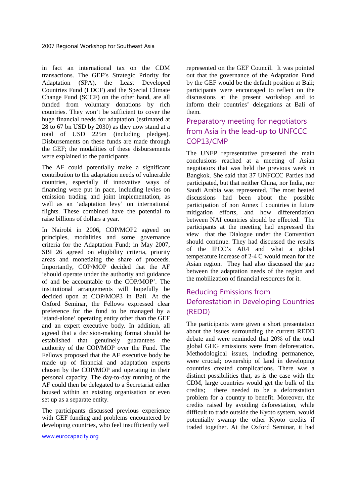in fact an international tax on the CDM transactions. The GEF's Strategic Priority for Adaptation (SPA), the Least Developed Countries Fund (LDCF) and the Special Climate Change Fund (SCCF) on the other hand, are all funded from voluntary donations by rich countries. They won't be sufficient to cover the huge financial needs for adaptation (estimated at 28 to 67 bn USD by 2030) as they now stand at a total of USD 225m (including pledges). Disbursements on these funds are made through the GEF; the modalities of these disbursements were explained to the participants.

The AF could potentially make a significant contribution to the adaptation needs of vulnerable countries, especially if innovative ways of financing were put in pace, including levies on emission trading and joint implementation, as well as an 'adaptation levy' on international flights. These combined have the potential to raise billions of dollars a year.

In Nairobi in 2006, COP/MOP2 agreed on principles, modalities and some governance criteria for the Adaptation Fund; in May 2007, SBI 26 agreed on eligibility criteria, priority areas and monetizing the share of proceeds. Importantly, COP/MOP decided that the AF 'should operate under the authority and guidance of and be accountable to the COP/MOP'. The institutional arrangements will hopefully be decided upon at COP/MOP3 in Bali. At the Oxford Seminar, the Fellows expressed clear preference for the fund to be managed by a 'stand-alone' operating entity other than the GEF and an expert executive body. In addition, all agreed that a decision-making format should be established that genuinely guarantees the authority of the COP/MOP over the Fund. The Fellows proposed that the AF executive body be made up of financial and adaptation experts chosen by the COP/MOP and operating in their personal capacity. The day-to-day running of the AF could then be delegated to a Secretariat either housed within an existing organisation or even set up as a separate entity.

The participants discussed previous experience with GEF funding and problems encountered by developing countries, who feel insufficiently well represented on the GEF Council. It was pointed out that the governance of the Adaptation Fund by the GEF would be the default position at Bali; participants were encouraged to reflect on the discussions at the present workshop and to inform their countries' delegations at Bali of them.

## Preparatory meeting for negotiators from Asia in the lead-up to UNFCCC COP13/CMP

The UNEP representative presented the main conclusions reached at a meeting of Asian negotiators that was held the previous week in Bangkok. She said that 37 UNFCCC Parties had participated, but that neither China, nor India, nor Saudi Arabia was represented. The most heated discussions had been about the possible participation of non Annex I countries in future mitigation efforts, and how differentiation between NAI countries should be effected. The participants at the meeting had expressed the view that the Dialogue under the Convention should continue. They had discussed the results of the IPCC's AR4 and what a global temperature increase of 2-4  $\mathbb C$  would mean for the Asian region. They had also discussed the gap between the adaptation needs of the region and the mobilization of financial resources for it.

## Reducing Emissions from Deforestation in Developing Countries (REDD)

The participants were given a short presentation about the issues surrounding the current REDD debate and were reminded that 20% of the total global GHG emissions were from deforestation. Methodological issues, including permanence, were crucial; ownership of land in developing countries created complications. There was a distinct possibilities that, as is the case with the CDM, large countries would get the bulk of the credits; there needed to be a deforestation problem for a country to benefit. Moreover, the credits raised by avoiding deforestation, while difficult to trade outside the Kyoto system, would potentially swamp the other Kyoto credits if traded together. At the Oxford Seminar, it had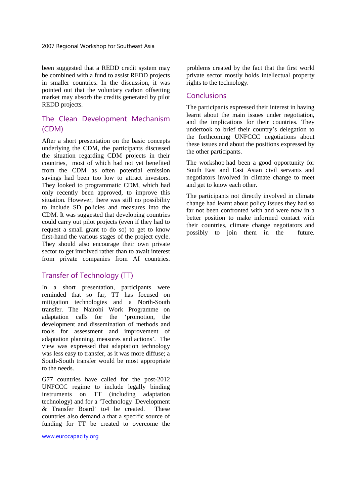been suggested that a REDD credit system may be combined with a fund to assist REDD projects in smaller countries. In the discussion, it was pointed out that the voluntary carbon offsetting market may absorb the credits generated by pilot REDD projects.

#### The Clean Development Mechanism (CDM)

After a short presentation on the basic concepts underlying the CDM, the participants discussed the situation regarding CDM projects in their countries, most of which had not yet benefited from the CDM as often potential emission savings had been too low to attract investors. They looked to programmatic CDM, which had only recently been approved, to improve this situation. However, there was still no possibility to include SD policies and measures into the CDM. It was suggested that developing countries could carry out pilot projects (even if they had to request a small grant to do so) to get to know first-hand the various stages of the project cycle. They should also encourage their own private sector to get involved rather than to await interest from private companies from AI countries.

#### Transfer of Technology (TT)

In a short presentation, participants were reminded that so far, TT has focused on mitigation technologies and a North-South transfer. The Nairobi Work Programme on adaptation calls for the 'promotion, the development and dissemination of methods and tools for assessment and improvement of adaptation planning, measures and actions'. The view was expressed that adaptation technology was less easy to transfer, as it was more diffuse; a South-South transfer would be most appropriate to the needs.

G77 countries have called for the post-2012 UNFCCC regime to include legally binding instruments on TT (including adaptation technology) and for a 'Technology Development & Transfer Board' to4 be created. These countries also demand a that a specific source of funding for TT be created to overcome the

www.eurocapacity.org

problems created by the fact that the first world private sector mostly holds intellectual property rights to the technology.

#### **Conclusions**

The participants expressed their interest in having learnt about the main issues under negotiation, and the implications for their countries. They undertook to brief their country's delegation to the forthcoming UNFCCC negotiations about these issues and about the positions expressed by the other participants.

The workshop had been a good opportunity for South East and East Asian civil servants and negotiators involved in climate change to meet and get to know each other.

The participants not directly involved in climate change had learnt about policy issues they had so far not been confronted with and were now in a better position to make informed contact with their countries, climate change negotiators and possibly to join them in the future.